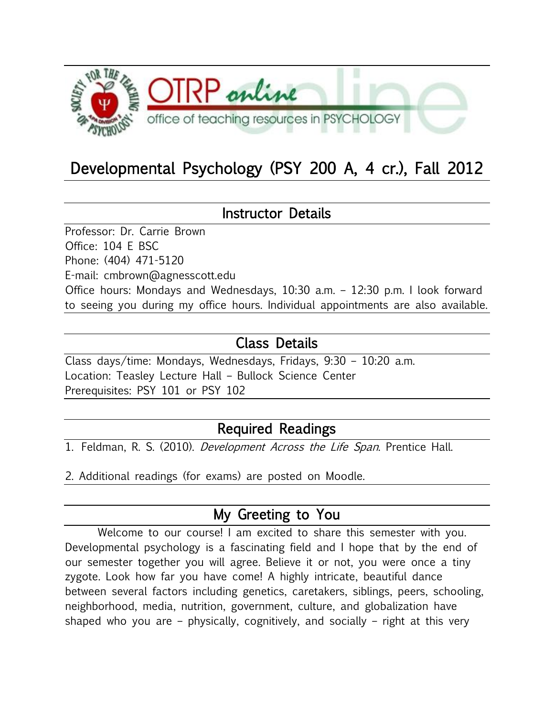

# Developmental Psychology (PSY 200 A, 4 cr.), Fall 2012

#### Instructor Details

Professor: Dr. Carrie Brown Office: 104 E BSC Phone: (404) 471-5120 E-mail: cmbrown@agnesscott.edu Office hours: Mondays and Wednesdays, 10:30 a.m. – 12:30 p.m. I look forward to seeing you during my office hours. Individual appointments are also available.

## Class Details

Class days/time: Mondays, Wednesdays, Fridays, 9:30 – 10:20 a.m. Location: Teasley Lecture Hall – Bullock Science Center Prerequisites: PSY 101 or PSY 102

## Required Readings

1. Feldman, R. S. (2010). *Development Across the Life Span*. Prentice Hall.

2. Additional readings (for exams) are posted on Moodle.

## My Greeting to You

Welcome to our course! I am excited to share this semester with you. Developmental psychology is a fascinating field and I hope that by the end of our semester together you will agree. Believe it or not, you were once a tiny zygote. Look how far you have come! A highly intricate, beautiful dance between several factors including genetics, caretakers, siblings, peers, schooling, neighborhood, media, nutrition, government, culture, and globalization have shaped who you are – physically, cognitively, and socially – right at this very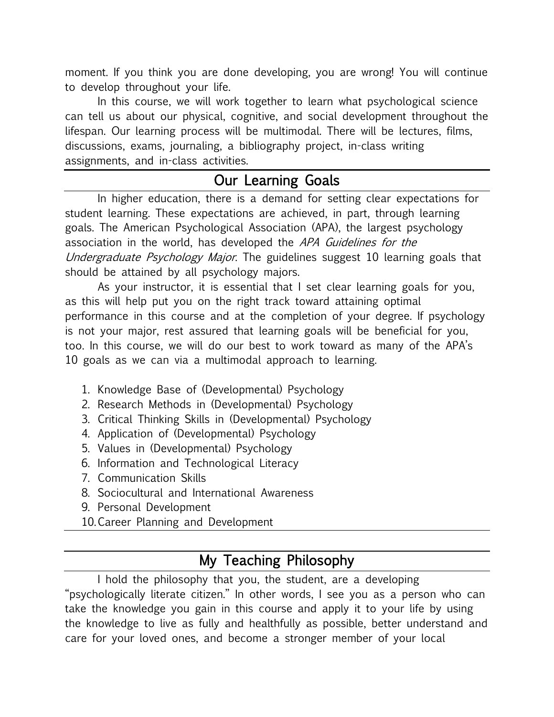moment. If you think you are done developing, you are wrong! You will continue to develop throughout your life.

In this course, we will work together to learn what psychological science can tell us about our physical, cognitive, and social development throughout the lifespan. Our learning process will be multimodal. There will be lectures, films, discussions, exams, journaling, a bibliography project, in-class writing assignments, and in-class activities.

## Our Learning Goals

In higher education, there is a demand for setting clear expectations for student learning. These expectations are achieved, in part, through learning goals. The American Psychological Association (APA), the largest psychology association in the world, has developed the APA Guidelines for the Undergraduate Psychology Major. The guidelines suggest 10 learning goals that should be attained by all psychology majors.

As your instructor, it is essential that I set clear learning goals for you, as this will help put you on the right track toward attaining optimal performance in this course and at the completion of your degree. If psychology is not your major, rest assured that learning goals will be beneficial for you, too. In this course, we will do our best to work toward as many of the APA's 10 goals as we can via a multimodal approach to learning.

- 1. Knowledge Base of (Developmental) Psychology
- 2. Research Methods in (Developmental) Psychology
- 3. Critical Thinking Skills in (Developmental) Psychology
- 4. Application of (Developmental) Psychology
- 5. Values in (Developmental) Psychology
- 6. Information and Technological Literacy
- 7. Communication Skills
- 8. Sociocultural and International Awareness
- 9. Personal Development
- 10.Career Planning and Development

## My Teaching Philosophy

I hold the philosophy that you, the student, are a developing "psychologically literate citizen." In other words, I see you as a person who can take the knowledge you gain in this course and apply it to your life by using the knowledge to live as fully and healthfully as possible, better understand and care for your loved ones, and become a stronger member of your local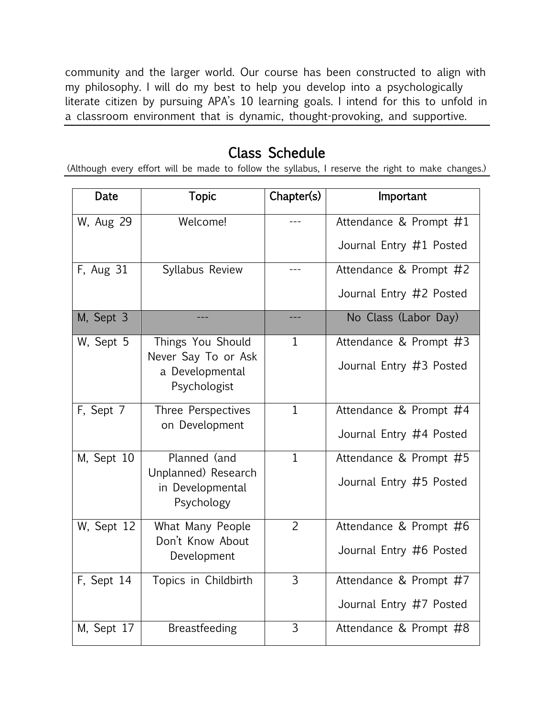community and the larger world. Our course has been constructed to align with my philosophy. I will do my best to help you develop into a psychologically literate citizen by pursuing APA's 10 learning goals. I intend for this to unfold in a classroom environment that is dynamic, thought-provoking, and supportive.

### Class Schedule

(Although every effort will be made to follow the syllabus, I reserve the right to make changes.)

| Date       | <b>Topic</b>                                                                | Chapter(s)     | Important                                         |
|------------|-----------------------------------------------------------------------------|----------------|---------------------------------------------------|
| W, Aug 29  | Welcome!                                                                    |                | Attendance & Prompt #1<br>Journal Entry #1 Posted |
| F, Aug 31  | Syllabus Review                                                             | $- - -$        | Attendance & Prompt #2<br>Journal Entry #2 Posted |
| M, Sept 3  |                                                                             |                | No Class (Labor Day)                              |
| W, Sept 5  | Things You Should<br>Never Say To or Ask<br>a Developmental<br>Psychologist | 1              | Attendance & Prompt #3<br>Journal Entry #3 Posted |
| F, Sept 7  | Three Perspectives<br>on Development                                        | $\mathbf{1}$   | Attendance & Prompt #4<br>Journal Entry #4 Posted |
| M, Sept 10 | Planned (and<br>Unplanned) Research<br>in Developmental<br>Psychology       | $\mathbf{1}$   | Attendance & Prompt #5<br>Journal Entry #5 Posted |
| W, Sept 12 | What Many People<br>Don't Know About<br>Development                         | $\overline{2}$ | Attendance & Prompt #6<br>Journal Entry #6 Posted |
| F, Sept 14 | Topics in Childbirth                                                        | 3              | Attendance & Prompt #7<br>Journal Entry #7 Posted |
| M, Sept 17 | <b>Breastfeeding</b>                                                        | $\overline{3}$ | Attendance & Prompt #8                            |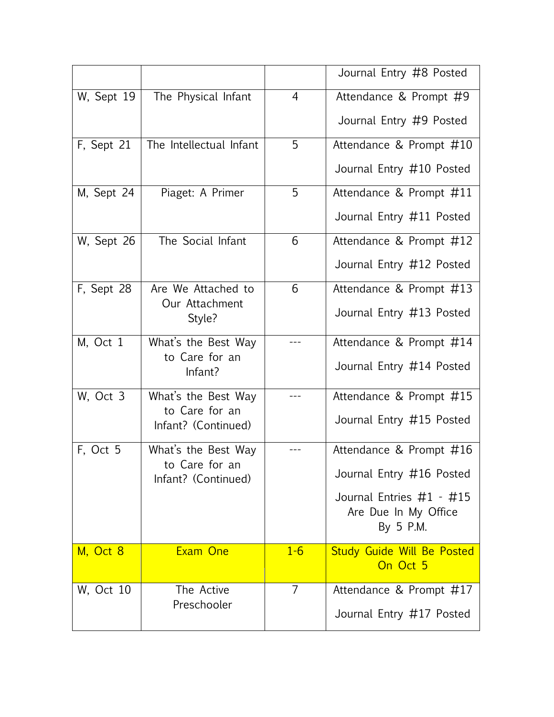|                   |                                       |                | Journal Entry #8 Posted                                       |
|-------------------|---------------------------------------|----------------|---------------------------------------------------------------|
| W, Sept 19        | The Physical Infant                   | $\overline{4}$ | Attendance & Prompt #9                                        |
|                   |                                       |                | Journal Entry #9 Posted                                       |
| F, Sept 21        | The Intellectual Infant               | 5              | Attendance & Prompt #10                                       |
|                   |                                       |                | Journal Entry #10 Posted                                      |
| M, Sept 24        | Piaget: A Primer                      | 5              | Attendance & Prompt #11                                       |
|                   |                                       |                | Journal Entry #11 Posted                                      |
| W, Sept 26        | The Social Infant                     | 6              | Attendance & Prompt #12                                       |
|                   |                                       |                | Journal Entry #12 Posted                                      |
| F, Sept 28        | Are We Attached to                    | 6              | Attendance & Prompt #13                                       |
|                   | Our Attachment<br>Style?              |                | Journal Entry #13 Posted                                      |
| M, Oct 1          | What's the Best Way                   | ---            | Attendance & Prompt #14                                       |
|                   | to Care for an<br>Infant?             |                | Journal Entry #14 Posted                                      |
| W, Oct 3          | What's the Best Way                   |                | Attendance & Prompt #15                                       |
|                   | to Care for an<br>Infant? (Continued) |                | Journal Entry #15 Posted                                      |
| F, Oct 5          | What's the Best Way                   |                | Attendance & Prompt #16                                       |
|                   | to Care for an<br>Infant? (Continued) |                | Journal Entry #16 Posted                                      |
|                   |                                       |                | Journal Entries #1 - #15<br>Are Due In My Office<br>By 5 P.M. |
| M, Oct 8          | Exam One                              | $1 - 6$        | <b>Study Guide Will Be Posted</b><br>On Oct 5                 |
|                   |                                       |                |                                                               |
| <b>W</b> , Oct 10 | The Active<br>Preschooler             | $\overline{7}$ | Attendance & Prompt #17                                       |
|                   |                                       |                | Journal Entry #17 Posted                                      |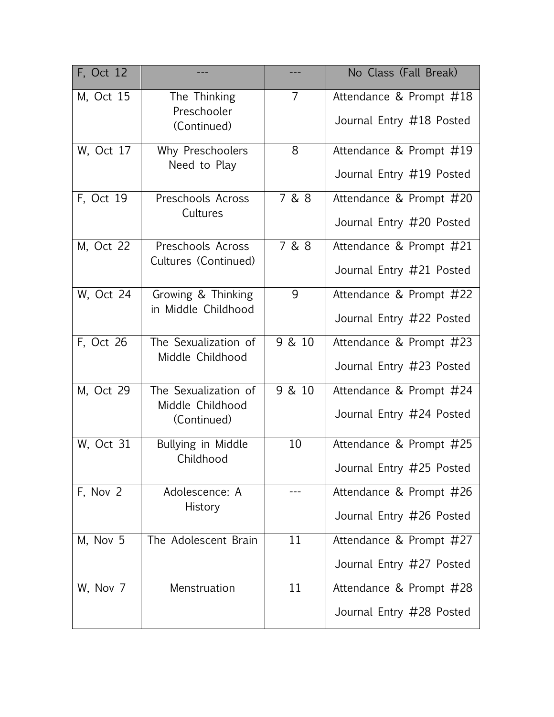| F, Oct 12         |                                                         |                | No Class (Fall Break)                               |
|-------------------|---------------------------------------------------------|----------------|-----------------------------------------------------|
| M, Oct 15         | The Thinking<br>Preschooler<br>(Continued)              | $\overline{7}$ | Attendance & Prompt #18<br>Journal Entry #18 Posted |
| W, Oct 17         | Why Preschoolers<br>Need to Play                        | 8              | Attendance & Prompt #19<br>Journal Entry #19 Posted |
| F, Oct 19         | Preschools Across<br>Cultures                           | 7 & 8          | Attendance & Prompt #20<br>Journal Entry #20 Posted |
| M, Oct 22         | Preschools Across<br>Cultures (Continued)               | 7 & 8          | Attendance & Prompt #21<br>Journal Entry #21 Posted |
| <b>W</b> , Oct 24 | Growing & Thinking<br>in Middle Childhood               | 9              | Attendance & Prompt #22<br>Journal Entry #22 Posted |
| F, Oct 26         | The Sexualization of<br>Middle Childhood                | 9 & 10         | Attendance & Prompt #23<br>Journal Entry #23 Posted |
| M, Oct 29         | The Sexualization of<br>Middle Childhood<br>(Continued) | 9 & 10         | Attendance & Prompt #24<br>Journal Entry #24 Posted |
| <b>W</b> , Oct 31 | Bullying in Middle<br>Childhood                         | 10             | Attendance & Prompt #25<br>Journal Entry #25 Posted |
| F, Nov 2          | Adolescence: A<br>History                               |                | Attendance & Prompt #26<br>Journal Entry #26 Posted |
| M, Nov 5          | The Adolescent Brain                                    | 11             | Attendance & Prompt #27<br>Journal Entry #27 Posted |
| W, Nov 7          | Menstruation                                            | 11             | Attendance & Prompt #28<br>Journal Entry #28 Posted |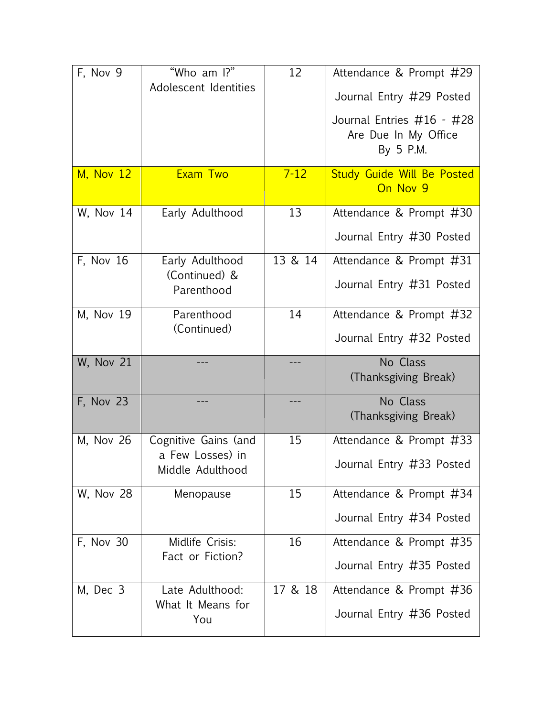| F, Nov 9          | "Who am I?"<br>Adolescent Identities                         | 12       | Attendance & Prompt #29<br>Journal Entry #29 Posted<br>Journal Entries #16 - #28<br>Are Due In My Office<br>By 5 P.M. |
|-------------------|--------------------------------------------------------------|----------|-----------------------------------------------------------------------------------------------------------------------|
| <b>M, Nov 12</b>  | Exam Two                                                     | $7 - 12$ | <b>Study Guide Will Be Posted</b><br>On Nov 9                                                                         |
| <b>W</b> , Nov 14 | Early Adulthood                                              | 13       | Attendance & Prompt #30<br>Journal Entry #30 Posted                                                                   |
| F, Nov 16         | Early Adulthood<br>(Continued) &<br>Parenthood               | 13 & 14  | Attendance & Prompt #31<br>Journal Entry #31 Posted                                                                   |
| M, Nov 19         | Parenthood<br>(Continued)                                    | 14       | Attendance & Prompt #32<br>Journal Entry #32 Posted                                                                   |
| <b>W, Nov 21</b>  |                                                              | ---      | No Class<br>(Thanksgiving Break)                                                                                      |
| F, Nov 23         | ---                                                          | ---      | No Class<br>(Thanksgiving Break)                                                                                      |
| M, Nov 26         | Cognitive Gains (and<br>a Few Losses) in<br>Middle Adulthood | 15       | Attendance & Prompt #33<br>Journal Entry #33 Posted                                                                   |
| <b>W, Nov 28</b>  | Menopause                                                    | 15       | Attendance & Prompt #34<br>Journal Entry #34 Posted                                                                   |
| F, Nov 30         | Midlife Crisis:<br>Fact or Fiction?                          | 16       | Attendance & Prompt #35<br>Journal Entry #35 Posted                                                                   |
| M, Dec 3          | Late Adulthood:<br>What It Means for<br>You                  | 17 & 18  | Attendance & Prompt #36<br>Journal Entry #36 Posted                                                                   |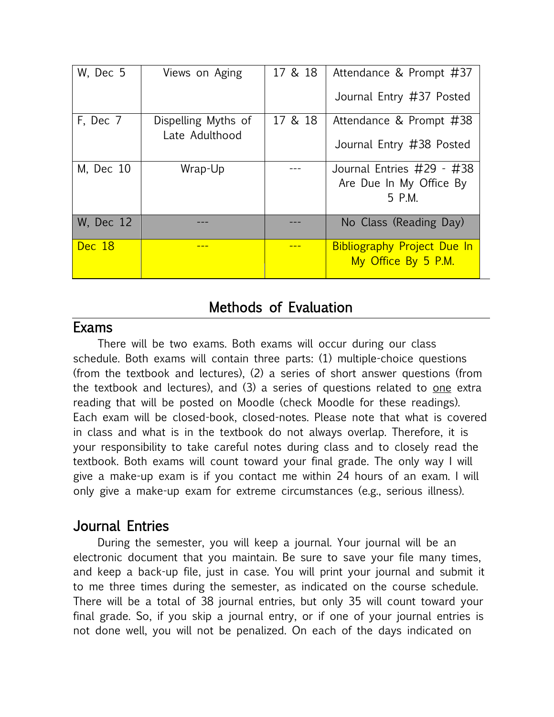| W, Dec 5  | Views on Aging                        | 17 & 18 | Attendance & Prompt #37                                   |
|-----------|---------------------------------------|---------|-----------------------------------------------------------|
|           |                                       |         | Journal Entry #37 Posted                                  |
| F, Dec 7  | Dispelling Myths of<br>Late Adulthood | 17 & 18 | Attendance & Prompt #38                                   |
|           |                                       |         | Journal Entry #38 Posted                                  |
| M, Dec 10 | Wrap-Up                               |         | Journal Entries #29 - #38<br>Are Due In My Office By      |
|           |                                       |         | 5 P.M.                                                    |
| W, Dec 12 |                                       |         | No Class (Reading Day)                                    |
| Dec 18    |                                       |         | <b>Bibliography Project Due In</b><br>My Office By 5 P.M. |

#### Methods of Evaluation

#### Exams

There will be two exams. Both exams will occur during our class schedule. Both exams will contain three parts: (1) multiple-choice questions (from the textbook and lectures), (2) a series of short answer questions (from the textbook and lectures), and  $(3)$  a series of questions related to one extra reading that will be posted on Moodle (check Moodle for these readings). Each exam will be closed-book, closed-notes. Please note that what is covered in class and what is in the textbook do not always overlap. Therefore, it is your responsibility to take careful notes during class and to closely read the textbook. Both exams will count toward your final grade. The only way I will give a make-up exam is if you contact me within 24 hours of an exam. I will only give a make-up exam for extreme circumstances (e.g., serious illness).

## Journal Entries

During the semester, you will keep a journal. Your journal will be an electronic document that you maintain. Be sure to save your file many times, and keep a back-up file, just in case. You will print your journal and submit it to me three times during the semester, as indicated on the course schedule. There will be a total of 38 journal entries, but only 35 will count toward your final grade. So, if you skip a journal entry, or if one of your journal entries is not done well, you will not be penalized. On each of the days indicated on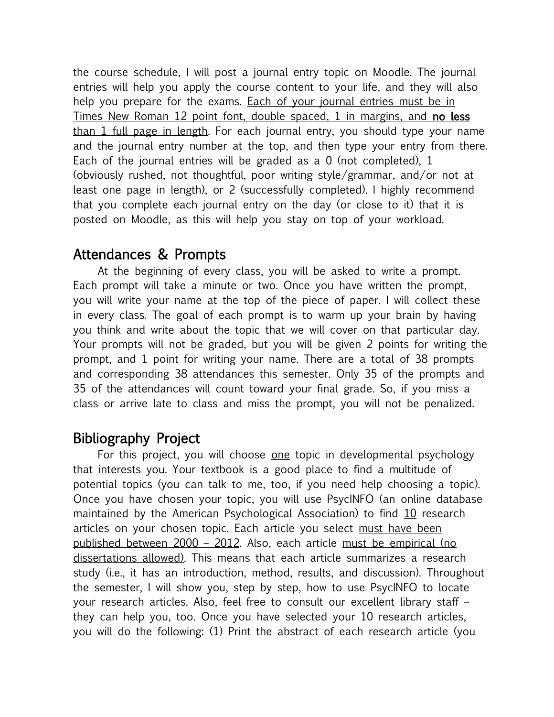the course schedule, I will post a journal entry topic on Moodle. The journal entries will help you apply the course content to your life, and they will also help you prepare for the exams. Each of your journal entries must be in Times New Roman 12 point font, double spaced, 1 in margins, and no less than 1 full page in length. For each journal entry, you should type your name and the journal entry number at the top, and then type your entry from there. Each of the journal entries will be graded as a 0 (not completed), 1 (obviously rushed, not thoughtful, poor writing style/grammar, and/or not at least one page in length), or 2 (successfully completed). I highly recommend that you complete each journal entry on the day (or close to it) that it is posted on Moodle, as this will help you stay on top of your workload.

#### Attendances & Prompts

At the beginning of every class, you will be asked to write a prompt. Each prompt will take a minute or two. Once you have written the prompt, you will write your name at the top of the piece of paper. I will collect these in every class. The goal of each prompt is to warm up your brain by having you think and write about the topic that we will cover on that particular day. Your prompts will not be graded, but you will be given 2 points for writing the prompt, and 1 point for writing your name. There are a total of 38 prompts and corresponding 38 attendances this semester. Only 35 of the prompts and 35 of the attendances will count toward your final grade. So, if you miss a class or arrive late to class and miss the prompt, you will not be penalized.

## Bibliography Project

For this project, you will choose one topic in developmental psychology that interests you. Your textbook is a good place to find a multitude of potential topics (you can talk to me, too, if you need help choosing a topic). Once you have chosen your topic, you will use PsycINFO (an online database maintained by the American Psychological Association) to find 10 research articles on your chosen topic. Each article you select must have been published between 2000 – 2012. Also, each article must be empirical (no dissertations allowed). This means that each article summarizes a research study (i.e., it has an introduction, method, results, and discussion). Throughout the semester, I will show you, step by step, how to use PsycINFO to locate your research articles. Also, feel free to consult our excellent library staff – they can help you, too. Once you have selected your 10 research articles, you will do the following: (1) Print the abstract of each research article (you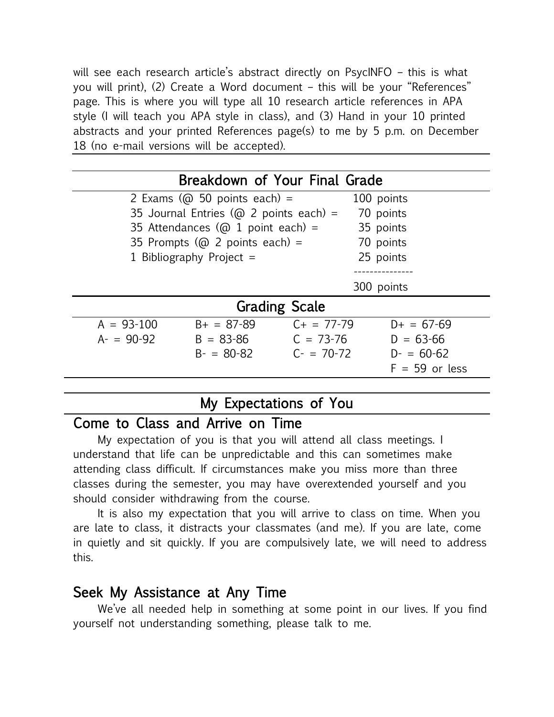will see each research article's abstract directly on PsycINFO – this is what you will print), (2) Create a Word document – this will be your "References" page. This is where you will type all 10 research article references in APA style (I will teach you APA style in class), and (3) Hand in your 10 printed abstracts and your printed References page(s) to me by 5 p.m. on December 18 (no e-mail versions will be accepted).

| Breakdown of Your Final Grade |                                                |                 |                  |  |  |
|-------------------------------|------------------------------------------------|-----------------|------------------|--|--|
|                               | 2 Exams ( $\omega$ 50 points each) =           |                 | 100 points       |  |  |
|                               | 35 Journal Entries ( $\omega$ 2 points each) = |                 |                  |  |  |
|                               | 35 Attendances ( $\omega$ 1 point each) =      |                 |                  |  |  |
|                               | 35 Prompts ( $\omega$ 2 points each) =         |                 |                  |  |  |
|                               | 1 Bibliography Project $=$                     |                 |                  |  |  |
|                               |                                                |                 |                  |  |  |
|                               |                                                |                 | 300 points       |  |  |
| <b>Grading Scale</b>          |                                                |                 |                  |  |  |
| $A = 93-100$                  | $B+ = 87-89$                                   | $C_{+}$ = 77-79 | $D+ = 67-69$     |  |  |
| $A - 90 - 92$                 | $B = 83 - 86$                                  | $C = 73-76$     | $D = 63 - 66$    |  |  |
|                               | $B - 80 - 82$                                  | $C = 70-72$     | $D = 60-62$      |  |  |
|                               |                                                |                 | $F = 59$ or less |  |  |
|                               |                                                |                 |                  |  |  |

## My Expectations of You

#### Come to Class and Arrive on Time

My expectation of you is that you will attend all class meetings. I understand that life can be unpredictable and this can sometimes make attending class difficult. If circumstances make you miss more than three classes during the semester, you may have overextended yourself and you should consider withdrawing from the course.

It is also my expectation that you will arrive to class on time. When you are late to class, it distracts your classmates (and me). If you are late, come in quietly and sit quickly. If you are compulsively late, we will need to address this.

#### Seek My Assistance at Any Time

We've all needed help in something at some point in our lives. If you find yourself not understanding something, please talk to me.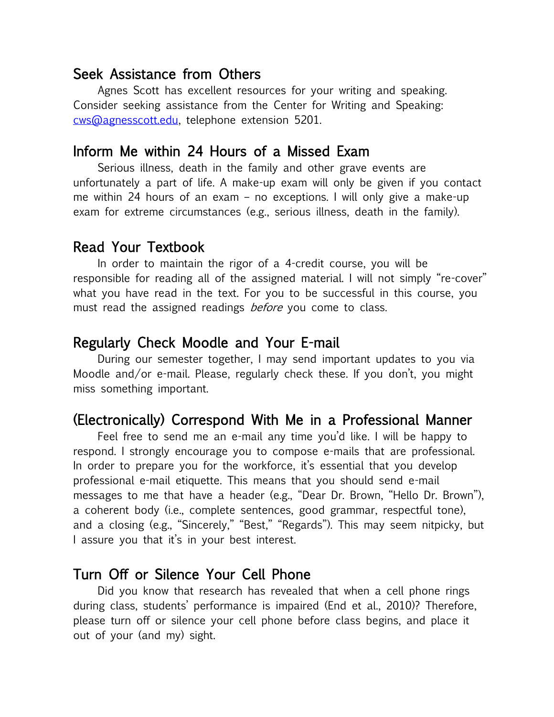#### Seek Assistance from Others

Agnes Scott has excellent resources for your writing and speaking. Consider seeking assistance from the Center for Writing and Speaking: [cws@agnesscott.edu,](mailto:cws@agnesscott.edu) telephone extension 5201.

#### Inform Me within 24 Hours of a Missed Exam

Serious illness, death in the family and other grave events are unfortunately a part of life. A make-up exam will only be given if you contact me within 24 hours of an exam – no exceptions. I will only give a make-up exam for extreme circumstances (e.g., serious illness, death in the family).

#### Read Your Textbook

In order to maintain the rigor of a 4-credit course, you will be responsible for reading all of the assigned material. I will not simply "re-cover" what you have read in the text. For you to be successful in this course, you must read the assigned readings *before* you come to class.

#### Regularly Check Moodle and Your E-mail

During our semester together, I may send important updates to you via Moodle and/or e-mail. Please, regularly check these. If you don't, you might miss something important.

#### (Electronically) Correspond With Me in a Professional Manner

Feel free to send me an e-mail any time you'd like. I will be happy to respond. I strongly encourage you to compose e-mails that are professional. In order to prepare you for the workforce, it's essential that you develop professional e-mail etiquette. This means that you should send e-mail messages to me that have a header (e.g., "Dear Dr. Brown, "Hello Dr. Brown"), a coherent body (i.e., complete sentences, good grammar, respectful tone), and a closing (e.g., "Sincerely," "Best," "Regards"). This may seem nitpicky, but I assure you that it's in your best interest.

#### Turn Off or Silence Your Cell Phone

Did you know that research has revealed that when a cell phone rings during class, students' performance is impaired (End et al., 2010)? Therefore, please turn off or silence your cell phone before class begins, and place it out of your (and my) sight.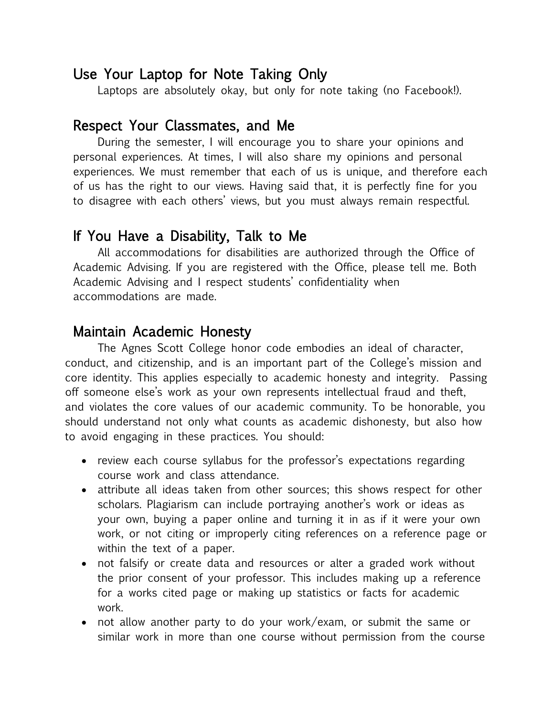#### Use Your Laptop for Note Taking Only

Laptops are absolutely okay, but only for note taking (no Facebook!).

#### Respect Your Classmates, and Me

During the semester, I will encourage you to share your opinions and personal experiences. At times, I will also share my opinions and personal experiences. We must remember that each of us is unique, and therefore each of us has the right to our views. Having said that, it is perfectly fine for you to disagree with each others' views, but you must always remain respectful.

## If You Have a Disability, Talk to Me

All accommodations for disabilities are authorized through the Office of Academic Advising. If you are registered with the Office, please tell me. Both Academic Advising and I respect students' confidentiality when accommodations are made.

## Maintain Academic Honesty

The Agnes Scott College honor code embodies an ideal of character, conduct, and citizenship, and is an important part of the College's mission and core identity. This applies especially to academic honesty and integrity. Passing off someone else's work as your own represents intellectual fraud and theft, and violates the core values of our academic community. To be honorable, you should understand not only what counts as academic dishonesty, but also how to avoid engaging in these practices. You should:

- review each course syllabus for the professor's expectations regarding course work and class attendance.
- attribute all ideas taken from other sources; this shows respect for other scholars. Plagiarism can include portraying another's work or ideas as your own, buying a paper online and turning it in as if it were your own work, or not citing or improperly citing references on a reference page or within the text of a paper.
- not falsify or create data and resources or alter a graded work without the prior consent of your professor. This includes making up a reference for a works cited page or making up statistics or facts for academic work.
- not allow another party to do your work/exam, or submit the same or similar work in more than one course without permission from the course